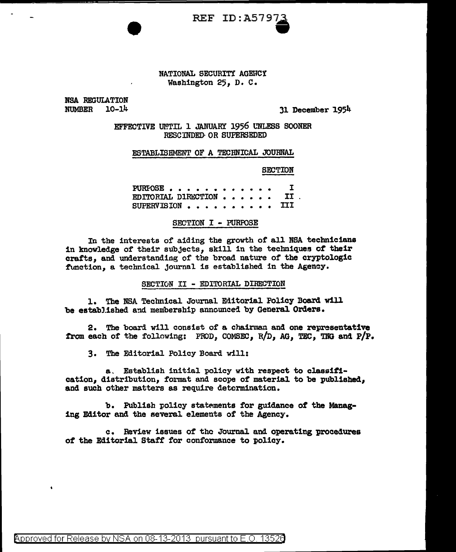

### NATIONAL SECURITY AGENCY Washington 25, D. C.

NSA REGULATION NUMBER 10-14

Jl December 1954

EFFECTIVE UMTIL l JANUARY 1956 l'NLESS SOONER RESCINDED· OR SUPERSEDED

### ESTABLISHMENT OF A TECHNICAL JOURNAL

SECTION

PURFOSE . . . . . . . . . . . . . I<br>EDITIORIAL DIRECTION . . . . . . . II EDITORIAL DIRECTION . . . . . . II<br>SUPERVISION . . . . . . . . . . III SUPERVISION . . . . .

## SECTION I - PURPOSE

In the interests of aiding the growth of all NSA technicians in knowledge of' their subjects, skill in the techniques *ot* their crafts, and understanding of the broad nature of the cryptologic function, a technical journal is established in the Agency.

### SECTION II - EDITORIAL DIRECTION

1. The NSA Technical Journal Editorial Policy Board will be established and membership announced by General Orders.

2. The board will consist of a chairman and one representative from each of the following: PROD, COMSEC, R/D, AG, TEC, TNG and P/P.

3. The Editorial Policy Board will:

a. Establish initial policy with respect to classification, distribution, format and scope of material to be published, and such other matters as require determination.

b. Publish policy statements for guidance of the Managing Editor and the several elements of the Agency.

c. Review issues of tho Journal and operating procedures of the Editorial Staff for conformance to policy.